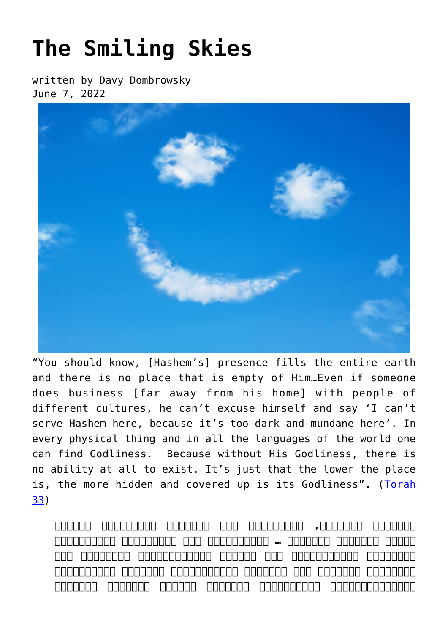## **[The Smiling Skies](https://breslov.org/the-smiling-skies/)**

written by Davy Dombrowsky June 7, 2022



"You should know, [Hashem's] presence fills the entire earth and there is no place that is empty of Him…Even if someone does business [far away from his home] with people of different cultures, he can't excuse himself and say 'I can't serve Hashem here, because it's too dark and mundane here'. In every physical thing and in all the languages of the world one can find Godliness. Because without His Godliness, there is no ability at all to exist. It's just that the lower the place is, the more hidden and covered up is its Godliness". ([Torah](https://he.wikisource.org/wiki/%D7%9C%D7%A7%D7%95%D7%98%D7%99_%D7%9E%D7%95%D7%94%D7%A8%22%D7%9F_%D7%9C%D7%92) [33\)](https://he.wikisource.org/wiki/%D7%9C%D7%A7%D7%95%D7%98%D7%99_%D7%9E%D7%95%D7%94%D7%A8%22%D7%9F_%D7%9C%D7%92)

**צָרִיךְ לָדַעַת, שֶׁמְּלֹא כָל הָאָרֶץ כְּבוֹדוֹ וְלֵית אֲתַר פָּנוּי מִנֵּהּ ... וַאֲפִלּוּ מִי שֶׁעוֹסֵק בְּמַשָּׂא וּמַתָּן בַּגּוֹיִים לֹא יוּכַל לְהִתְנַצֵּל וְלוֹמַר אִי אֶפְשִׁי לַעֲבֹד אֶת הַשֵּׁם יִתְבָּרַךְ מֵחֲמַת עוֹבִיּוּת וְגַשְׁמִיּוּת שֶׁנּוֹפֵל תָּמִיד עָלָיו מֵחֲמַת הָעֵסֶק**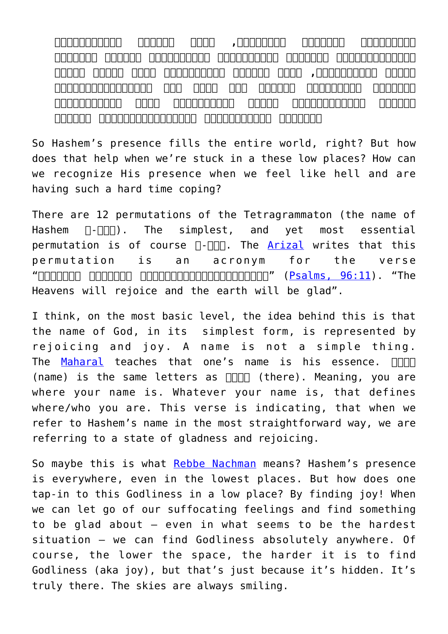**שֶׁעוֹסֵק תָּמִיד עִמָּהֶם, כִּי בְּכָל הַדְּבָרִים גַּשְׁמִיִּים וּבְכָל לְשׁוֹנוֹת הַגּוֹיִים יָכוֹל לִמְצֹא בָהֶם אֱלֹקוּתו,ֹ כִּי בְּלֹא אֱלֹקוּתוֹ אֵין לָהֶם שׁוּם חִיּוּת וְקִיּוּם כְּלָל רַק כָּל מַה שֶּׁהַמַּדְרֵגָה יוֹתֵר תַּחְתּוֹנָה אֲזַי אֱלֹקוּתוֹ שָׁם בְּצִמְצוּם גָּדוֹל וּמְלֻבָּשׁ בְּמַלְבּוּשִׁים יוֹתֵר**

So Hashem's presence fills the entire world, right? But how does that help when we're stuck in a these low places? How can we recognize His presence when we feel like hell and are having such a hard time coping?

There are 12 permutations of the Tetragrammaton (the name of  $H$ ashem  $\Pi$ - $\Pi$  $\Pi$ ), The simplest, and yet most essential permutation is of course  $\Pi$ - $\Pi\Pi$ . The [Arizal](https://en.wikipedia.org/wiki/Isaac_Luria) writes that this permutation is an acronym for the verse The ".[\)96:11 ,Psalms](https://he.wikisource.org/wiki/%D7%A7%D7%98%D7%92%D7%95%D7%A8%D7%99%D7%94:%D7%AA%D7%94%D7%9C%D7%99%D7%9D_%D7%A6%D7%95_%D7%99%D7%90)" [\(](https://he.wikisource.org/wiki/%D7%A7%D7%98%D7%92%D7%95%D7%A8%D7%99%D7%94:%D7%AA%D7%94%D7%9C%D7%99%D7%9D_%D7%A6%D7%95_%D7%99%D7%90)**יִ**שְׂמְחוּ**הַ**שָּׁמַיִם **וְ**תָגֵל **הָ**אָרֶץ" Heavens will rejoice and the earth will be glad".

I think, on the most basic level, the idea behind this is that the name of God, in its simplest form, is represented by rejoicing and joy. A name is not a simple thing. The [Maharal](https://en.wikipedia.org/wiki/Judah_Loew_ben_Bezalel) teaches that one's name is his essence.  $\square \square \square$ (name) is the same letters as  $\square \square \square \square$  (there). Meaning, you are where your name is. Whatever your name is, that defines where/who you are. This verse is indicating, that when we refer to Hashem's name in the most straightforward way, we are referring to a state of gladness and rejoicing.

So maybe this is what [Rebbe Nachman](https://ahalleldavar.blog/rebbe-nachman-%d7%96%d7%99%d7%b4%d7%a2/) means? Hashem's presence is everywhere, even in the lowest places. But how does one tap-in to this Godliness in a low place? By finding joy! When we can let go of our suffocating feelings and find something to be glad about – even in what seems to be the hardest situation – we can find Godliness absolutely anywhere. Of course, the lower the space, the harder it is to find Godliness (aka joy), but that's just because it's hidden. It's truly there. The skies are always smiling.